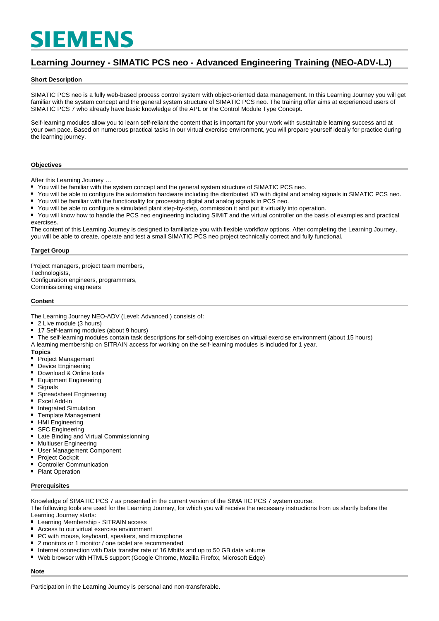# **SIEMENS**

## **Learning Journey - SIMATIC PCS neo - Advanced Engineering Training (NEO-ADV-LJ)**

#### **Short Description**

SIMATIC PCS neo is a fully web-based process control system with object-oriented data management. In this Learning Journey you will get familiar with the system concept and the general system structure of SIMATIC PCS neo. The training offer aims at experienced users of SIMATIC PCS 7 who already have basic knowledge of the APL or the Control Module Type Concept.

Self-learning modules allow you to learn self-reliant the content that is important for your work with sustainable learning success and at your own pace. Based on numerous practical tasks in our virtual exercise environment, you will prepare yourself ideally for practice during the learning journey.

#### **Objectives**

After this Learning Journey …

- You will be familiar with the system concept and the general system structure of SIMATIC PCS neo.
- $\blacksquare$ You will be able to configure the automation hardware including the distributed I/O with digital and analog signals in SIMATIC PCS neo.
- $\blacksquare$ You will be familiar with the functionality for processing digital and analog signals in PCS neo.
- $\blacksquare$ You will be able to configure a simulated plant step-by-step, commission it and put it virtually into operation.
- You will know how to handle the PCS neo engineering including SIMIT and the virtual controller on the basis of examples and practical exercises.

The content of this Learning Journey is designed to familiarize you with flexible workflow options. After completing the Learning Journey, you will be able to create, operate and test a small SIMATIC PCS neo project technically correct and fully functional.

#### **Target Group**

Project managers, project team members, Technologists, Configuration engineers, programmers, Commissioning engineers

#### **Content**

The Learning Journey NEO-ADV (Level: Advanced ) consists of:

#### 2 Live module (3 hours)

- $\blacksquare$ 17 Self-learning modules (about 9 hours)
- The self-learning modules contain task descriptions for self-doing exercises on virtual exercise environment (about 15 hours)
- A learning membership on SITRAIN access for working on the self-learning modules is included for 1 year.

#### **Topics**

- Project Management
- $\blacksquare$ Device Engineering
- Download & Online tools  $\blacksquare$
- $\blacksquare$ Equipment Engineering
- $\blacksquare$ **Signals**
- $\blacksquare$ Spreadsheet Engineering
- Excel Add-in
- Integrated Simulation
- $\blacksquare$ Template Management
- $\blacksquare$ HMI Engineering
- SFC Engineering
- Late Binding and Virtual Commissionning
- $\blacksquare$ Multiuser Engineering
- $\blacksquare$ User Management Component
- $\blacksquare$ Project Cockpit
- Controller Communication
- Plant Operation  $\blacksquare$

#### **Prerequisites**

Knowledge of SIMATIC PCS 7 as presented in the current version of the SIMATIC PCS 7 system course.

The following tools are used for the Learning Journey, for which you will receive the necessary instructions from us shortly before the Learning Journey starts:

- **Learning Membership SITRAIN access**
- Access to our virtual exercise environment
- $\blacksquare$ PC with mouse, keyboard, speakers, and microphone
- $\blacksquare$ 2 monitors or 1 monitor / one tablet are recommended
- Internet connection with Data transfer rate of 16 Mbit/s and up to 50 GB data volume  $\blacksquare$
- Web browser with HTML5 support (Google Chrome, Mozilla Firefox, Microsoft Edge)

**Note**

Participation in the Learning Journey is personal and non-transferable.